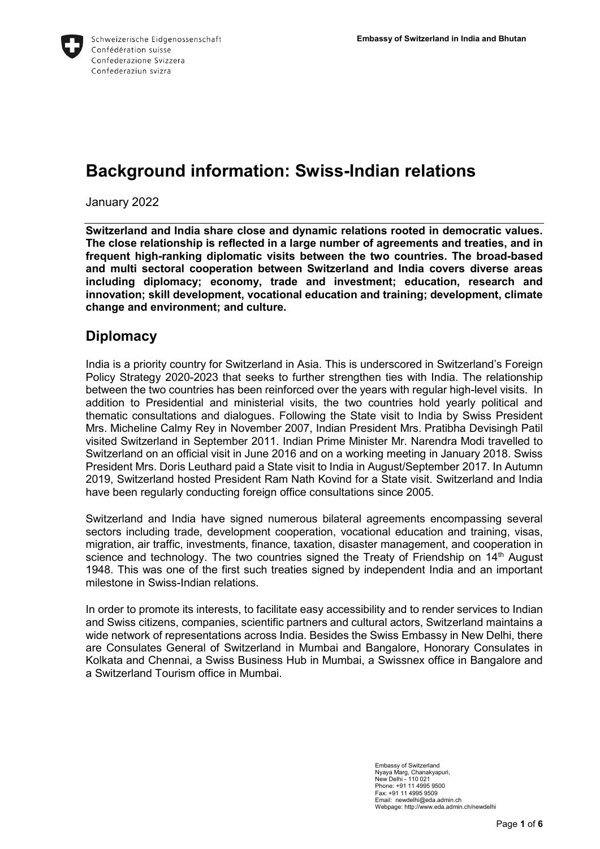

# **Background information: Swiss-Indian relations**

January 2022

**Switzerland and India share close and dynamic relations rooted in democratic values. The close relationship is reflected in a large number of agreements and treaties, and in frequent high-ranking diplomatic visits between the two countries. The broad-based and multi sectoral cooperation between Switzerland and India covers diverse areas including diplomacy; economy, trade and investment; education, research and innovation; skill development, vocational education and training; development, climate change and environment; and culture.**

#### **Diplomacy**

India is a priority country for Switzerland in Asia. This is underscored in Switzerland's Foreign Policy Strategy 2020-2023 that seeks to further strengthen ties with India. The relationship between the two countries has been reinforced over the years with regular high-level visits. In addition to Presidential and ministerial visits, the two countries hold yearly political and thematic consultations and dialogues. Following the State visit to India by Swiss President Mrs. Micheline Calmy Rey in November 2007, Indian President Mrs. Pratibha Devisingh Patil visited Switzerland in September 2011. Indian Prime Minister Mr. Narendra Modi travelled to Switzerland on an official visit in June 2016 and on a working meeting in January 2018. Swiss President Mrs. Doris Leuthard paid a State visit to India in August/September 2017. In Autumn 2019, Switzerland hosted President Ram Nath Kovind for a State visit. Switzerland and India have been regularly conducting foreign office consultations since 2005.

Switzerland and India have signed numerous bilateral agreements encompassing several sectors including trade, development cooperation, vocational education and training, visas, migration, air traffic, investments, finance, taxation, disaster management, and cooperation in science and technology. The two countries signed the Treaty of Friendship on  $14<sup>th</sup>$  August 1948. This was one of the first such treaties signed by independent India and an important milestone in Swiss-Indian relations.

In order to promote its interests, to facilitate easy accessibility and to render services to Indian and Swiss citizens, companies, scientific partners and cultural actors, Switzerland maintains a wide network of representations across India. Besides the Swiss Embassy in New Delhi, there are Consulates General of Switzerland in Mumbai and Bangalore, Honorary Consulates in Kolkata and Chennai, a Swiss Business Hub in Mumbai, a Swissnex office in Bangalore and a Switzerland Tourism office in Mumbai.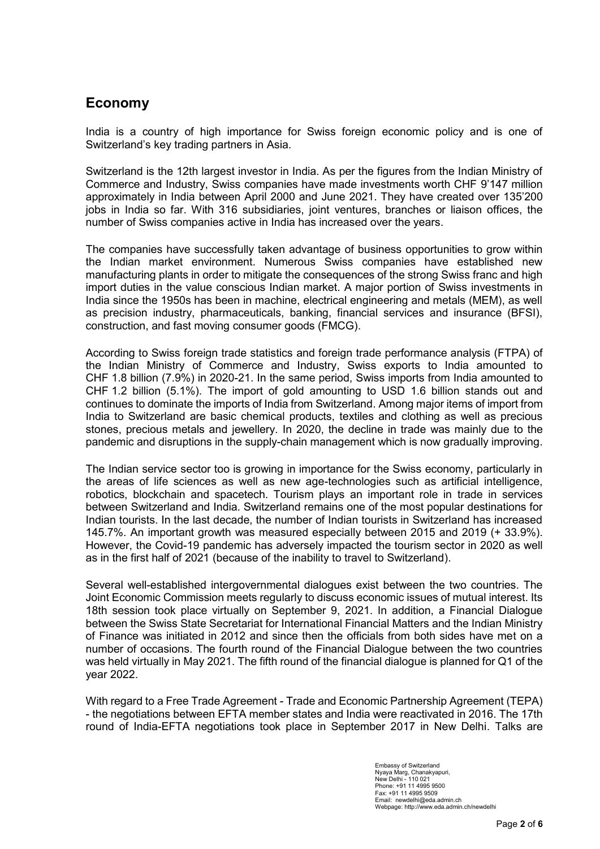## **Economy**

India is a country of high importance for Swiss foreign economic policy and is one of Switzerland's key trading partners in Asia.

Switzerland is the 12th largest investor in India. As per the figures from the Indian Ministry of Commerce and Industry, Swiss companies have made investments worth CHF 9'147 million approximately in India between April 2000 and June 2021. They have created over 135'200 jobs in India so far. With 316 subsidiaries, joint ventures, branches or liaison offices, the number of Swiss companies active in India has increased over the years.

The companies have successfully taken advantage of business opportunities to grow within the Indian market environment. Numerous Swiss companies have established new manufacturing plants in order to mitigate the consequences of the strong Swiss franc and high import duties in the value conscious Indian market. A major portion of Swiss investments in India since the 1950s has been in machine, electrical engineering and metals (MEM), as well as precision industry, pharmaceuticals, banking, financial services and insurance (BFSI), construction, and fast moving consumer goods (FMCG).

According to Swiss foreign trade statistics and foreign trade performance analysis (FTPA) of the Indian Ministry of Commerce and Industry, Swiss exports to India amounted to CHF 1.8 billion (7.9%) in 2020-21. In the same period, Swiss imports from India amounted to CHF 1.2 billion (5.1%). The import of gold amounting to USD 1.6 billion stands out and continues to dominate the imports of India from Switzerland. Among major items of import from India to Switzerland are basic chemical products, textiles and clothing as well as precious stones, precious metals and jewellery. In 2020, the decline in trade was mainly due to the pandemic and disruptions in the supply-chain management which is now gradually improving.

The Indian service sector too is growing in importance for the Swiss economy, particularly in the areas of life sciences as well as new age-technologies such as artificial intelligence, robotics, blockchain and spacetech. Tourism plays an important role in trade in services between Switzerland and India. Switzerland remains one of the most popular destinations for Indian tourists. In the last decade, the number of Indian tourists in Switzerland has increased 145.7%. An important growth was measured especially between 2015 and 2019 (+ 33.9%). However, the Covid-19 pandemic has adversely impacted the tourism sector in 2020 as well as in the first half of 2021 (because of the inability to travel to Switzerland).

Several well-established intergovernmental dialogues exist between the two countries. The Joint Economic Commission meets regularly to discuss economic issues of mutual interest. Its 18th session took place virtually on September 9, 2021. In addition, a Financial Dialogue between the Swiss State Secretariat for International Financial Matters and the Indian Ministry of Finance was initiated in 2012 and since then the officials from both sides have met on a number of occasions. The fourth round of the Financial Dialogue between the two countries was held virtually in May 2021. The fifth round of the financial dialogue is planned for Q1 of the year 2022.

With regard to a Free Trade Agreement - Trade and Economic Partnership Agreement (TEPA) - the negotiations between EFTA member states and India were reactivated in 2016. The 17th round of India-EFTA negotiations took place in September 2017 in New Delhi. Talks are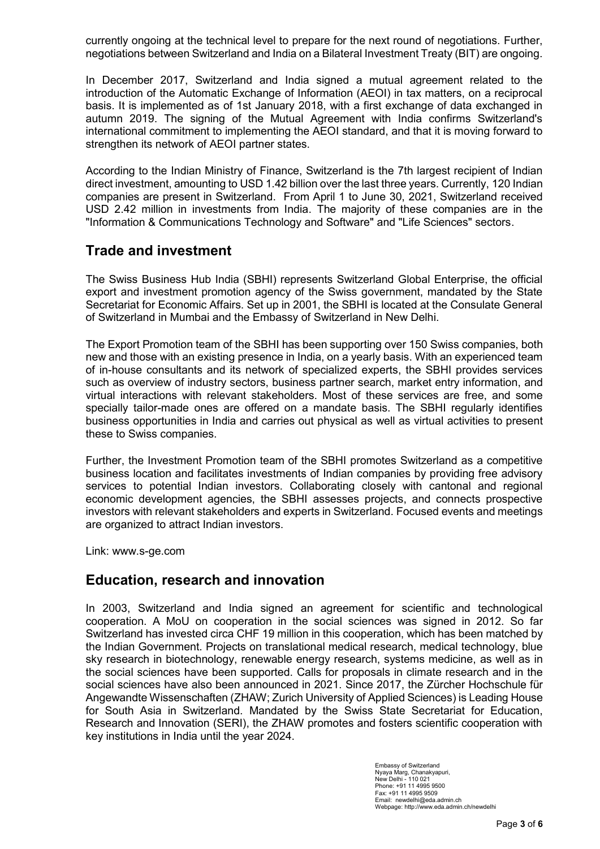currently ongoing at the technical level to prepare for the next round of negotiations. Further, negotiations between Switzerland and India on a Bilateral Investment Treaty (BIT) are ongoing.

In December 2017, Switzerland and India signed a mutual agreement related to the introduction of the Automatic Exchange of Information (AEOI) in tax matters, on a reciprocal basis. It is implemented as of 1st January 2018, with a first exchange of data exchanged in autumn 2019. The signing of the Mutual Agreement with India confirms Switzerland's international commitment to implementing the AEOI standard, and that it is moving forward to strengthen its network of AEOI partner states.

According to the Indian Ministry of Finance, Switzerland is the 7th largest recipient of Indian direct investment, amounting to USD 1.42 billion over the last three years. Currently, 120 Indian companies are present in Switzerland. From April 1 to June 30, 2021, Switzerland received USD 2.42 million in investments from India. The majority of these companies are in the "Information & Communications Technology and Software" and "Life Sciences" sectors.

#### **Trade and investment**

The Swiss Business Hub India (SBHI) represents Switzerland Global Enterprise, the official export and investment promotion agency of the Swiss government, mandated by the State Secretariat for Economic Affairs. Set up in 2001, the SBHI is located at the Consulate General of Switzerland in Mumbai and the Embassy of Switzerland in New Delhi.

The Export Promotion team of the SBHI has been supporting over 150 Swiss companies, both new and those with an existing presence in India, on a yearly basis. With an experienced team of in-house consultants and its network of specialized experts, the SBHI provides services such as overview of industry sectors, business partner search, market entry information, and virtual interactions with relevant stakeholders. Most of these services are free, and some specially tailor-made ones are offered on a mandate basis. The SBHI regularly identifies business opportunities in India and carries out physical as well as virtual activities to present these to Swiss companies.

Further, the Investment Promotion team of the SBHI promotes Switzerland as a competitive business location and facilitates investments of Indian companies by providing free advisory services to potential Indian investors. Collaborating closely with cantonal and regional economic development agencies, the SBHI assesses projects, and connects prospective investors with relevant stakeholders and experts in Switzerland. Focused events and meetings are organized to attract Indian investors.

Link: [www.s-ge.com](http://www.s-ge.com/)

## **Education, research and innovation**

In 2003, Switzerland and India signed an agreement for scientific and technological cooperation. A MoU on cooperation in the social sciences was signed in 2012. So far Switzerland has invested circa CHF 19 million in this cooperation, which has been matched by the Indian Government. Projects on translational medical research, medical technology, blue sky research in biotechnology, renewable energy research, systems medicine, as well as in the social sciences have been supported. Calls for proposals in climate research and in the social sciences have also been announced in 2021. Since 2017, the Zürcher Hochschule für Angewandte Wissenschaften (ZHAW; Zurich University of Applied Sciences) is Leading House for South Asia in Switzerland. Mandated by the Swiss State Secretariat for Education, Research and Innovation (SERI), the ZHAW promotes and fosters scientific cooperation with key institutions in India until the year 2024.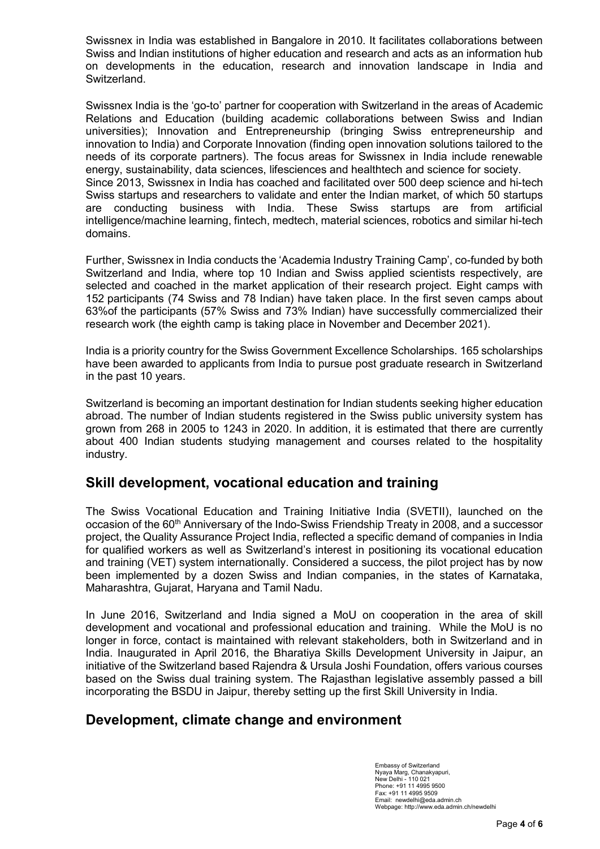Swissnex in India was established in Bangalore in 2010. It facilitates collaborations between Swiss and Indian institutions of higher education and research and acts as an information hub on developments in the education, research and innovation landscape in India and Switzerland.

Swissnex India is the 'go-to' partner for cooperation with Switzerland in the areas of Academic Relations and Education (building academic collaborations between Swiss and Indian universities); Innovation and Entrepreneurship (bringing Swiss entrepreneurship and innovation to India) and Corporate Innovation (finding open innovation solutions tailored to the needs of its corporate partners). The focus areas for Swissnex in India include renewable energy, sustainability, data sciences, lifesciences and healthtech and science for society. Since 2013, Swissnex in India has coached and facilitated over 500 deep science and hi-tech Swiss startups and researchers to validate and enter the Indian market, of which 50 startups are conducting business with India. These Swiss startups are from artificial intelligence/machine learning, fintech, medtech, material sciences, robotics and similar hi-tech domains.

Further, Swissnex in India conducts the 'Academia Industry Training Camp', co-funded by both Switzerland and India, where top 10 Indian and Swiss applied scientists respectively, are selected and coached in the market application of their research project. Eight camps with 152 participants (74 Swiss and 78 Indian) have taken place. In the first seven camps about 63%of the participants (57% Swiss and 73% Indian) have successfully commercialized their research work (the eighth camp is taking place in November and December 2021).

India is a priority country for the Swiss Government Excellence Scholarships. 165 scholarships have been awarded to applicants from India to pursue post graduate research in Switzerland in the past 10 years.

Switzerland is becoming an important destination for Indian students seeking higher education abroad. The number of Indian students registered in the Swiss public university system has grown from 268 in 2005 to 1243 in 2020. In addition, it is estimated that there are currently about 400 Indian students studying management and courses related to the hospitality industry.

#### **Skill development, vocational education and training**

The Swiss Vocational Education and Training Initiative India (SVETII), launched on the occasion of the 60<sup>th</sup> Anniversary of the Indo-Swiss Friendship Treaty in 2008, and a successor project, the Quality Assurance Project India, reflected a specific demand of companies in India for qualified workers as well as Switzerland's interest in positioning its vocational education and training (VET) system internationally. Considered a success, the pilot project has by now been implemented by a dozen Swiss and Indian companies, in the states of Karnataka, Maharashtra, Gujarat, Haryana and Tamil Nadu.

In June 2016, Switzerland and India signed a MoU on cooperation in the area of skill development and vocational and professional education and training. While the MoU is no longer in force, contact is maintained with relevant stakeholders, both in Switzerland and in India. Inaugurated in April 2016, the Bharatiya Skills Development University in Jaipur, an initiative of the Switzerland based Rajendra & Ursula Joshi Foundation, offers various courses based on the Swiss dual training system. The Rajasthan legislative assembly passed a bill incorporating the BSDU in Jaipur, thereby setting up the first Skill University in India.

## **Development, climate change and environment**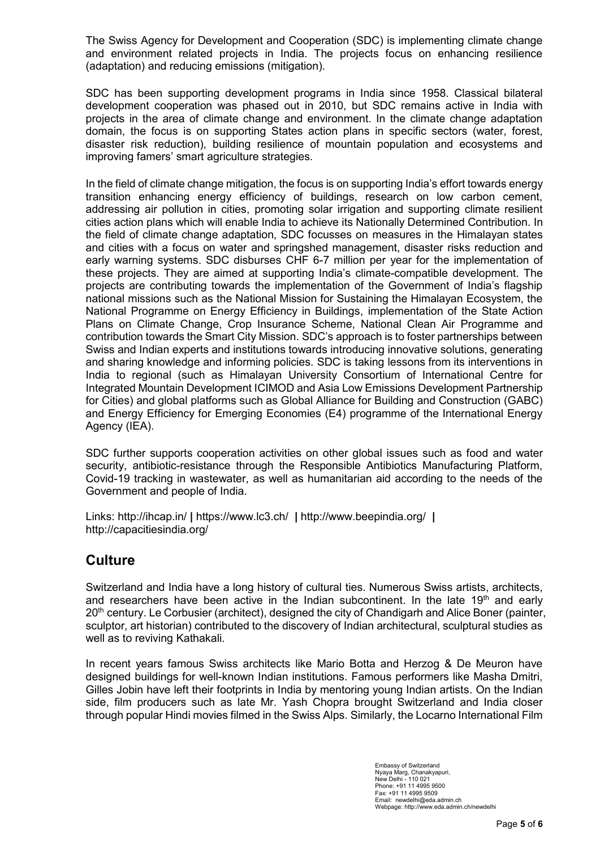The Swiss Agency for Development and Cooperation (SDC) is implementing climate change and environment related projects in India. The projects focus on enhancing resilience (adaptation) and reducing emissions (mitigation).

SDC has been supporting development programs in India since 1958. Classical bilateral development cooperation was phased out in 2010, but SDC remains active in India with projects in the area of climate change and environment. In the climate change adaptation domain, the focus is on supporting States action plans in specific sectors (water, forest, disaster risk reduction), building resilience of mountain population and ecosystems and improving famers' smart agriculture strategies.

In the field of climate change mitigation, the focus is on supporting India's effort towards energy transition enhancing energy efficiency of buildings, research on low carbon cement, addressing air pollution in cities, promoting solar irrigation and supporting climate resilient cities action plans which will enable India to achieve its Nationally Determined Contribution. In the field of climate change adaptation, SDC focusses on measures in the Himalayan states and cities with a focus on water and springshed management, disaster risks reduction and early warning systems. SDC disburses CHF 6-7 million per year for the implementation of these projects. They are aimed at supporting India's climate-compatible development. The projects are contributing towards the implementation of the Government of India's flagship national missions such as the National Mission for Sustaining the Himalayan Ecosystem, the National Programme on Energy Efficiency in Buildings, implementation of the State Action Plans on Climate Change, Crop Insurance Scheme, National Clean Air Programme and contribution towards the Smart City Mission. SDC's approach is to foster partnerships between Swiss and Indian experts and institutions towards introducing innovative solutions, generating and sharing knowledge and informing policies. SDC is taking lessons from its interventions in India to regional (such as Himalayan University Consortium of International Centre for Integrated Mountain Development ICIMOD and Asia Low Emissions Development Partnership for Cities) and global platforms such as Global Alliance for Building and Construction (GABC) and Energy Efficiency for Emerging Economies (E4) programme of the International Energy Agency (IEA).

SDC further supports cooperation activities on other global issues such as food and water security, antibiotic-resistance through the Responsible Antibiotics Manufacturing Platform, Covid-19 tracking in wastewater, as well as humanitarian aid according to the needs of the Government and people of India.

Links:<http://ihcap.in/> **|** <https://www.lc3.ch/>**|** <http://www.beepindia.org/> **|** <http://capacitiesindia.org/>

## **Culture**

Switzerland and India have a long history of cultural ties. Numerous Swiss artists, architects, and researchers have been active in the Indian subcontinent. In the late  $19<sup>th</sup>$  and early 20<sup>th</sup> century. Le Corbusier (architect), designed the city of Chandigarh and Alice Boner (painter, sculptor, art historian) contributed to the discovery of Indian architectural, sculptural studies as well as to reviving Kathakali.

In recent years famous Swiss architects like Mario Botta and Herzog & De Meuron have designed buildings for well-known Indian institutions. Famous performers like Masha Dmitri, Gilles Jobin have left their footprints in India by mentoring young Indian artists. On the Indian side, film producers such as late Mr. Yash Chopra brought Switzerland and India closer through popular Hindi movies filmed in the Swiss Alps. Similarly, the Locarno International Film